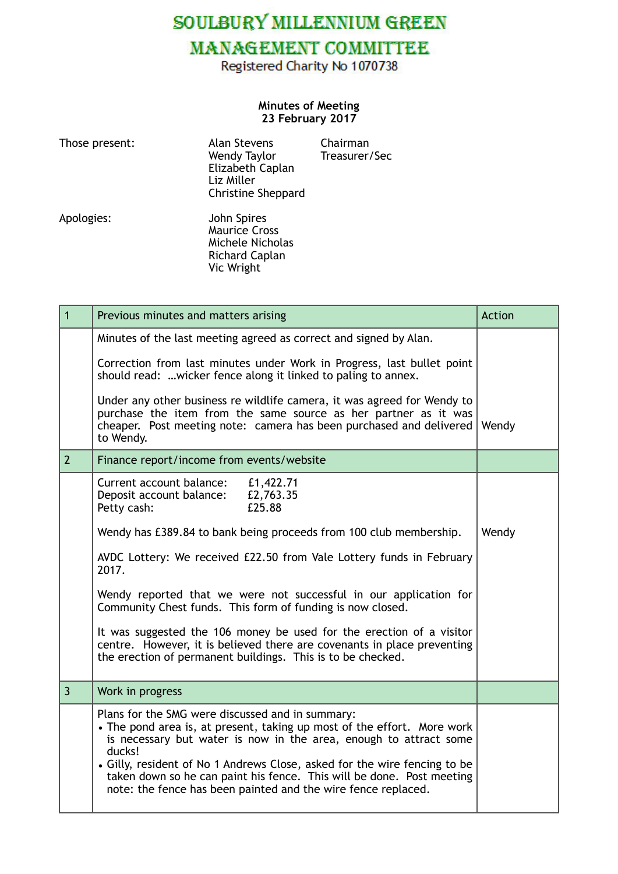SOULBURY MILLENNIUM GREEN

## **MANAGEMENT COMMITTEE**

Registered Charity No 1070738

## **Minutes of Meeting 23 February 2017**

| Those present: | <b>Alan Stevens</b><br>Wendy Taylor<br>Elizabeth Caplan<br>Liz Miller<br><b>Christine Sheppard</b> | Chairman<br>Treasurer/Sec |
|----------------|----------------------------------------------------------------------------------------------------|---------------------------|
| Apologies:     | John Spires<br><b>Maurice Cross</b><br>Michele Nicholas<br><b>Richard Caplan</b>                   |                           |

Vic Wright

| $\mathbf{1}$   | Previous minutes and matters arising                                                                                                                                                                                                                                                                                                                                                                                              | Action |
|----------------|-----------------------------------------------------------------------------------------------------------------------------------------------------------------------------------------------------------------------------------------------------------------------------------------------------------------------------------------------------------------------------------------------------------------------------------|--------|
|                | Minutes of the last meeting agreed as correct and signed by Alan.                                                                                                                                                                                                                                                                                                                                                                 |        |
|                | Correction from last minutes under Work in Progress, last bullet point<br>should read: wicker fence along it linked to paling to annex.                                                                                                                                                                                                                                                                                           |        |
|                | Under any other business re wildlife camera, it was agreed for Wendy to<br>purchase the item from the same source as her partner as it was<br>cheaper. Post meeting note: camera has been purchased and delivered Wendy<br>to Wendy.                                                                                                                                                                                              |        |
| $\overline{2}$ | Finance report/income from events/website                                                                                                                                                                                                                                                                                                                                                                                         |        |
|                | Current account balance:<br>£1,422.71<br>£2,763.35<br>Deposit account balance:<br>Petty cash:<br>£25.88                                                                                                                                                                                                                                                                                                                           |        |
|                | Wendy has £389.84 to bank being proceeds from 100 club membership.                                                                                                                                                                                                                                                                                                                                                                | Wendy  |
|                | AVDC Lottery: We received £22.50 from Vale Lottery funds in February<br>2017.                                                                                                                                                                                                                                                                                                                                                     |        |
|                | Wendy reported that we were not successful in our application for<br>Community Chest funds. This form of funding is now closed.                                                                                                                                                                                                                                                                                                   |        |
|                | It was suggested the 106 money be used for the erection of a visitor<br>centre. However, it is believed there are covenants in place preventing<br>the erection of permanent buildings. This is to be checked.                                                                                                                                                                                                                    |        |
| $\overline{3}$ | Work in progress                                                                                                                                                                                                                                                                                                                                                                                                                  |        |
|                | Plans for the SMG were discussed and in summary:<br>• The pond area is, at present, taking up most of the effort. More work<br>is necessary but water is now in the area, enough to attract some<br>ducks!<br>• Gilly, resident of No 1 Andrews Close, asked for the wire fencing to be<br>taken down so he can paint his fence. This will be done. Post meeting<br>note: the fence has been painted and the wire fence replaced. |        |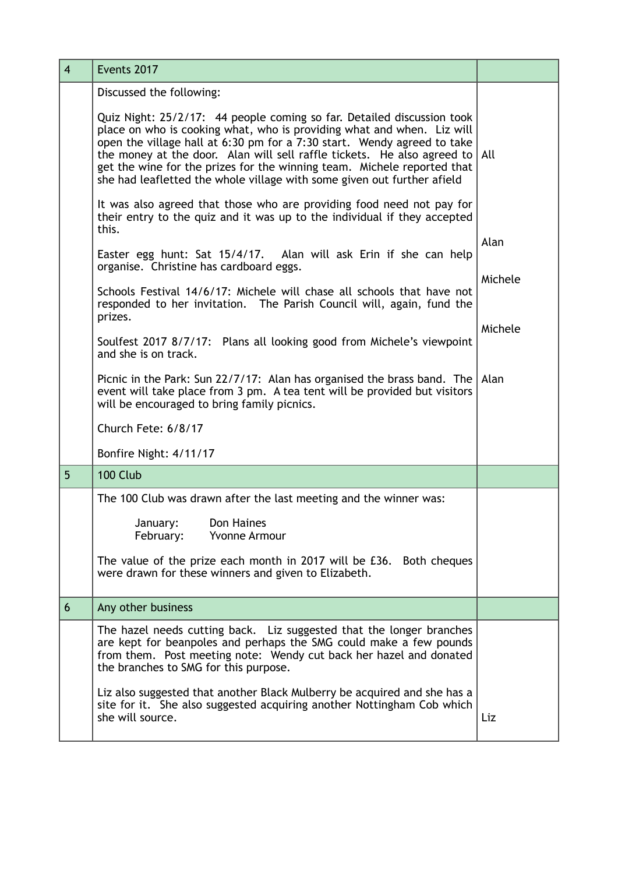| $\overline{4}$ | Events 2017                                                                                                                                                                                                                                                                                                                                                                                                                                                          |         |
|----------------|----------------------------------------------------------------------------------------------------------------------------------------------------------------------------------------------------------------------------------------------------------------------------------------------------------------------------------------------------------------------------------------------------------------------------------------------------------------------|---------|
|                | Discussed the following:                                                                                                                                                                                                                                                                                                                                                                                                                                             |         |
|                | Quiz Night: 25/2/17: 44 people coming so far. Detailed discussion took<br>place on who is cooking what, who is providing what and when. Liz will<br>open the village hall at 6:30 pm for a 7:30 start. Wendy agreed to take<br>the money at the door. Alan will sell raffle tickets. He also agreed to $ $ All<br>get the wine for the prizes for the winning team. Michele reported that<br>she had leafletted the whole village with some given out further afield |         |
|                | It was also agreed that those who are providing food need not pay for<br>their entry to the quiz and it was up to the individual if they accepted<br>this.                                                                                                                                                                                                                                                                                                           |         |
|                | Easter egg hunt: Sat 15/4/17. Alan will ask Erin if she can help<br>organise. Christine has cardboard eggs.                                                                                                                                                                                                                                                                                                                                                          | Alan    |
|                | Schools Festival 14/6/17: Michele will chase all schools that have not<br>responded to her invitation. The Parish Council will, again, fund the<br>prizes.                                                                                                                                                                                                                                                                                                           | Michele |
|                | Soulfest 2017 8/7/17: Plans all looking good from Michele's viewpoint<br>and she is on track.                                                                                                                                                                                                                                                                                                                                                                        | Michele |
|                | Picnic in the Park: Sun 22/7/17: Alan has organised the brass band. The $ $ Alan<br>event will take place from 3 pm. A tea tent will be provided but visitors<br>will be encouraged to bring family picnics.                                                                                                                                                                                                                                                         |         |
|                | Church Fete: 6/8/17                                                                                                                                                                                                                                                                                                                                                                                                                                                  |         |
|                | Bonfire Night: 4/11/17                                                                                                                                                                                                                                                                                                                                                                                                                                               |         |
| 5              | 100 Club                                                                                                                                                                                                                                                                                                                                                                                                                                                             |         |
|                | The 100 Club was drawn after the last meeting and the winner was:                                                                                                                                                                                                                                                                                                                                                                                                    |         |
|                | Don Haines<br>January:<br>Yvonne Armour<br>February:                                                                                                                                                                                                                                                                                                                                                                                                                 |         |
|                | The value of the prize each month in 2017 will be £36. Both cheques<br>were drawn for these winners and given to Elizabeth.                                                                                                                                                                                                                                                                                                                                          |         |
| 6              | Any other business                                                                                                                                                                                                                                                                                                                                                                                                                                                   |         |
|                | The hazel needs cutting back. Liz suggested that the longer branches<br>are kept for beanpoles and perhaps the SMG could make a few pounds<br>from them. Post meeting note: Wendy cut back her hazel and donated<br>the branches to SMG for this purpose.                                                                                                                                                                                                            |         |
|                | Liz also suggested that another Black Mulberry be acquired and she has a<br>site for it. She also suggested acquiring another Nottingham Cob which<br>she will source.                                                                                                                                                                                                                                                                                               | Liz     |